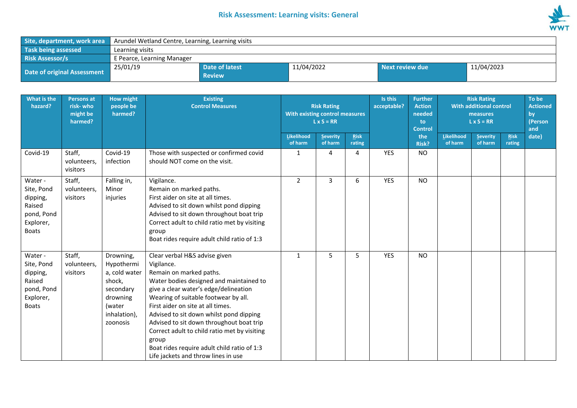## **Risk Assessment: Learning visits: General**



| Site, department, work area | Arundel Wetland Centre, Learning, Learning visits |                                 |            |                 |            |  |  |  |
|-----------------------------|---------------------------------------------------|---------------------------------|------------|-----------------|------------|--|--|--|
| Task being assessed         | Learning visits                                   |                                 |            |                 |            |  |  |  |
| <b>Risk Assessor/s</b>      | E Pearce, Learning Manager                        |                                 |            |                 |            |  |  |  |
| Date of original Assessment | 25/01/19                                          | Date of latest<br><b>Review</b> | 11/04/2022 | Next review due | 11/04/2023 |  |  |  |

| What is the<br>hazard?                                                                 | <b>Persons at</b><br>risk-who<br>might be<br>harmed? | <b>How might</b><br>people be<br>harmed?                                                                          | <b>Existing</b><br><b>Control Measures</b>                                                                                                                                                                                                                                                                                                                                                                                                                                    | <b>Risk Rating</b><br>With existing control measures<br>$L \times S = RR$ |                     |                       |            |              |                       |                            |                       |       |  |  |  |  |  |  |  |  |  |  |  |  |  |  |  |  | Is this<br><b>Further</b><br><b>Risk Rating</b><br><b>With additional control</b><br>acceptable?<br><b>Action</b><br>needed<br>measures<br>$L \times S = RR$<br>to<br><b>Control</b> |  |  | To be<br><b>Actioned</b><br>by<br>(Person<br>and |
|----------------------------------------------------------------------------------------|------------------------------------------------------|-------------------------------------------------------------------------------------------------------------------|-------------------------------------------------------------------------------------------------------------------------------------------------------------------------------------------------------------------------------------------------------------------------------------------------------------------------------------------------------------------------------------------------------------------------------------------------------------------------------|---------------------------------------------------------------------------|---------------------|-----------------------|------------|--------------|-----------------------|----------------------------|-----------------------|-------|--|--|--|--|--|--|--|--|--|--|--|--|--|--|--|--|--------------------------------------------------------------------------------------------------------------------------------------------------------------------------------------|--|--|--------------------------------------------------|
|                                                                                        |                                                      |                                                                                                                   |                                                                                                                                                                                                                                                                                                                                                                                                                                                                               | Likelihood<br>of harm                                                     | Severity<br>of harm | <b>Risk</b><br>rating |            | the<br>Risk? | Likelihood<br>of harm | <b>Severity</b><br>of harm | <b>Risk</b><br>rating | date) |  |  |  |  |  |  |  |  |  |  |  |  |  |  |  |  |                                                                                                                                                                                      |  |  |                                                  |
| Covid-19                                                                               | Staff,<br>volunteers,<br>visitors                    | Covid-19<br>infection                                                                                             | Those with suspected or confirmed covid<br>should NOT come on the visit.                                                                                                                                                                                                                                                                                                                                                                                                      | 1                                                                         | 4                   | 4                     | YES        | <b>NO</b>    |                       |                            |                       |       |  |  |  |  |  |  |  |  |  |  |  |  |  |  |  |  |                                                                                                                                                                                      |  |  |                                                  |
| Water -<br>Site, Pond<br>dipping,<br>Raised<br>pond, Pond<br>Explorer,<br><b>Boats</b> | Staff,<br>volunteers,<br>visitors                    | Falling in,<br>Minor<br>injuries                                                                                  | Vigilance.<br>Remain on marked paths.<br>First aider on site at all times.<br>Advised to sit down whilst pond dipping<br>Advised to sit down throughout boat trip<br>Correct adult to child ratio met by visiting<br>group<br>Boat rides require adult child ratio of 1:3                                                                                                                                                                                                     | 2                                                                         | 3                   | 6                     | <b>YES</b> | <b>NO</b>    |                       |                            |                       |       |  |  |  |  |  |  |  |  |  |  |  |  |  |  |  |  |                                                                                                                                                                                      |  |  |                                                  |
| Water -<br>Site, Pond<br>dipping,<br>Raised<br>pond, Pond<br>Explorer,<br><b>Boats</b> | Staff,<br>volunteers,<br>visitors                    | Drowning,<br>Hypothermi<br>a, cold water<br>shock,<br>secondary<br>drowning<br>(water<br>inhalation),<br>zoonosis | Clear verbal H&S advise given<br>Vigilance.<br>Remain on marked paths.<br>Water bodies designed and maintained to<br>give a clear water's edge/delineation<br>Wearing of suitable footwear by all.<br>First aider on site at all times.<br>Advised to sit down whilst pond dipping<br>Advised to sit down throughout boat trip<br>Correct adult to child ratio met by visiting<br>group<br>Boat rides require adult child ratio of 1:3<br>Life jackets and throw lines in use | $\mathbf{1}$                                                              | 5                   | 5                     | <b>YES</b> | <b>NO</b>    |                       |                            |                       |       |  |  |  |  |  |  |  |  |  |  |  |  |  |  |  |  |                                                                                                                                                                                      |  |  |                                                  |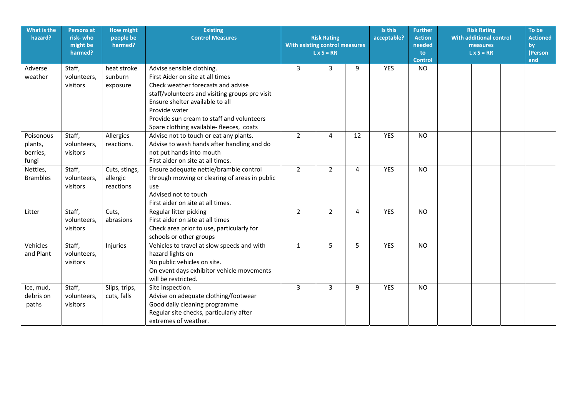| What is the<br>hazard?                    | <b>Persons at</b><br>risk-who<br>might be<br>harmed? | <b>How might</b><br>people be<br>harmed? | <b>Existing</b><br><b>Control Measures</b>                                                                                                                                                                                                                                                         | <b>Risk Rating</b><br>acceptable?<br><b>With existing control measures</b><br>$L \times S = RR$<br>9 |                | 3<br>3 |            |           |  |  |  |  |  |  |  |  |  |  |  |  |  |  |  |  |  |  |  |  |  |  |  | <b>Further</b><br><b>Action</b><br>needed<br>to<br><b>Control</b> | <b>Risk Rating</b><br><b>With additional control</b><br>measures<br>$L \times S = RR$ | To be<br><b>Actioned</b><br>by<br>(Person<br>and |
|-------------------------------------------|------------------------------------------------------|------------------------------------------|----------------------------------------------------------------------------------------------------------------------------------------------------------------------------------------------------------------------------------------------------------------------------------------------------|------------------------------------------------------------------------------------------------------|----------------|--------|------------|-----------|--|--|--|--|--|--|--|--|--|--|--|--|--|--|--|--|--|--|--|--|--|--|--|-------------------------------------------------------------------|---------------------------------------------------------------------------------------|--------------------------------------------------|
| Adverse<br>weather                        | Staff,<br>volunteers,<br>visitors                    | heat stroke<br>sunburn<br>exposure       | Advise sensible clothing.<br>First Aider on site at all times<br>Check weather forecasts and advise<br>staff/volunteers and visiting groups pre visit<br>Ensure shelter available to all<br>Provide water<br>Provide sun cream to staff and volunteers<br>Spare clothing available- fleeces, coats |                                                                                                      |                |        | <b>YES</b> | <b>NO</b> |  |  |  |  |  |  |  |  |  |  |  |  |  |  |  |  |  |  |  |  |  |  |  |                                                                   |                                                                                       |                                                  |
| Poisonous<br>plants,<br>berries,<br>fungi | Staff,<br>volunteers,<br>visitors                    | Allergies<br>reactions.                  | Advise not to touch or eat any plants.<br>Advise to wash hands after handling and do<br>not put hands into mouth<br>First aider on site at all times.                                                                                                                                              | $\overline{2}$                                                                                       | 4              | 12     | <b>YES</b> | <b>NO</b> |  |  |  |  |  |  |  |  |  |  |  |  |  |  |  |  |  |  |  |  |  |  |  |                                                                   |                                                                                       |                                                  |
| Nettles,<br><b>Brambles</b>               | Staff,<br>volunteers,<br>visitors                    | Cuts, stings,<br>allergic<br>reactions   | Ensure adequate nettle/bramble control<br>through mowing or clearing of areas in public<br>use<br>Advised not to touch<br>First aider on site at all times.                                                                                                                                        | $\overline{2}$                                                                                       | $\overline{2}$ | 4      | <b>YES</b> | <b>NO</b> |  |  |  |  |  |  |  |  |  |  |  |  |  |  |  |  |  |  |  |  |  |  |  |                                                                   |                                                                                       |                                                  |
| Litter                                    | Staff,<br>volunteers,<br>visitors                    | Cuts,<br>abrasions                       | Regular litter picking<br>First aider on site at all times<br>Check area prior to use, particularly for<br>schools or other groups                                                                                                                                                                 | $\overline{2}$                                                                                       | $\overline{2}$ | 4      | <b>YES</b> | <b>NO</b> |  |  |  |  |  |  |  |  |  |  |  |  |  |  |  |  |  |  |  |  |  |  |  |                                                                   |                                                                                       |                                                  |
| Vehicles<br>and Plant                     | Staff,<br>volunteers,<br>visitors                    | Injuries                                 | Vehicles to travel at slow speeds and with<br>hazard lights on<br>No public vehicles on site.<br>On event days exhibitor vehicle movements<br>will be restricted.                                                                                                                                  | $\mathbf{1}$                                                                                         | 5              | 5      | <b>YES</b> | <b>NO</b> |  |  |  |  |  |  |  |  |  |  |  |  |  |  |  |  |  |  |  |  |  |  |  |                                                                   |                                                                                       |                                                  |
| Ice, mud,<br>debris on<br>paths           | Staff,<br>volunteers,<br>visitors                    | Slips, trips,<br>cuts, falls             | Site inspection.<br>Advise on adequate clothing/footwear<br>Good daily cleaning programme<br>Regular site checks, particularly after<br>extremes of weather.                                                                                                                                       | 3                                                                                                    | 3              | 9      | <b>YES</b> | <b>NO</b> |  |  |  |  |  |  |  |  |  |  |  |  |  |  |  |  |  |  |  |  |  |  |  |                                                                   |                                                                                       |                                                  |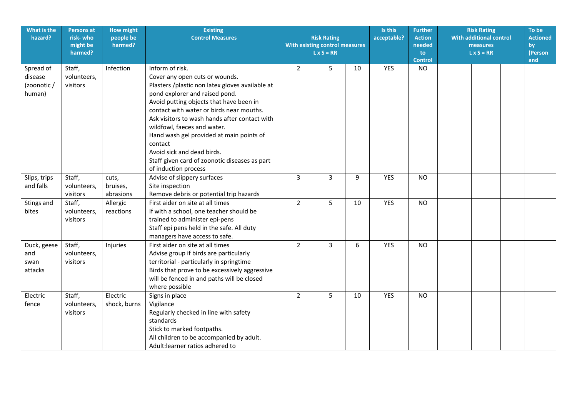| What is the<br>hazard?                        | <b>Persons at</b><br>risk-who<br>might be<br>harmed? | <b>How might</b><br>people be<br>harmed? | <b>Existing</b><br><b>Control Measures</b>                                                                                                                                                                                                                                                                                                                                                                                                                                  | <b>Risk Rating</b><br>With existing control measures<br>$L \times S = RR$ |                | Is this<br>acceptable? | <b>Further</b><br><b>Action</b><br>needed<br>to<br><b>Control</b> | <b>Risk Rating</b><br><b>With additional control</b><br>measures<br>$L \times S = RR$ | To be<br><b>Actioned</b><br>by<br>(Person<br>and |  |
|-----------------------------------------------|------------------------------------------------------|------------------------------------------|-----------------------------------------------------------------------------------------------------------------------------------------------------------------------------------------------------------------------------------------------------------------------------------------------------------------------------------------------------------------------------------------------------------------------------------------------------------------------------|---------------------------------------------------------------------------|----------------|------------------------|-------------------------------------------------------------------|---------------------------------------------------------------------------------------|--------------------------------------------------|--|
| Spread of<br>disease<br>(zoonotic /<br>human) | Staff,<br>volunteers,<br>visitors                    | Infection                                | Inform of risk.<br>Cover any open cuts or wounds.<br>Plasters /plastic non latex gloves available at<br>pond explorer and raised pond.<br>Avoid putting objects that have been in<br>contact with water or birds near mouths.<br>Ask visitors to wash hands after contact with<br>wildfowl, faeces and water.<br>Hand wash gel provided at main points of<br>contact<br>Avoid sick and dead birds.<br>Staff given card of zoonotic diseases as part<br>of induction process | $\overline{2}$                                                            | 5              | 10                     | <b>YES</b>                                                        | <b>NO</b>                                                                             |                                                  |  |
| Slips, trips<br>and falls                     | Staff,<br>volunteers,<br>visitors                    | cuts,<br>bruises,<br>abrasions           | Advise of slippery surfaces<br>Site inspection<br>Remove debris or potential trip hazards                                                                                                                                                                                                                                                                                                                                                                                   | 3                                                                         | 3              | 9                      | <b>YES</b>                                                        | <b>NO</b>                                                                             |                                                  |  |
| Stings and<br>bites                           | Staff,<br>volunteers,<br>visitors                    | Allergic<br>reactions                    | First aider on site at all times<br>If with a school, one teacher should be<br>trained to administer epi-pens<br>Staff epi pens held in the safe. All duty<br>managers have access to safe.                                                                                                                                                                                                                                                                                 | $\overline{2}$                                                            | 5              | 10                     | <b>YES</b>                                                        | <b>NO</b>                                                                             |                                                  |  |
| Duck, geese<br>and<br>swan<br>attacks         | Staff,<br>volunteers,<br>visitors                    | Injuries                                 | First aider on site at all times<br>Advise group if birds are particularly<br>territorial - particularly in springtime<br>Birds that prove to be excessively aggressive<br>will be fenced in and paths will be closed<br>where possible                                                                                                                                                                                                                                     | $\overline{2}$                                                            | $\overline{3}$ | 6                      | <b>YES</b>                                                        | <b>NO</b>                                                                             |                                                  |  |
| Electric<br>fence                             | Staff,<br>volunteers,<br>visitors                    | Electric<br>shock, burns                 | Signs in place<br>Vigilance<br>Regularly checked in line with safety<br>standards<br>Stick to marked footpaths.<br>All children to be accompanied by adult.<br>Adult: learner ratios adhered to                                                                                                                                                                                                                                                                             | $\overline{2}$                                                            | 5              | 10                     | <b>YES</b>                                                        | <b>NO</b>                                                                             |                                                  |  |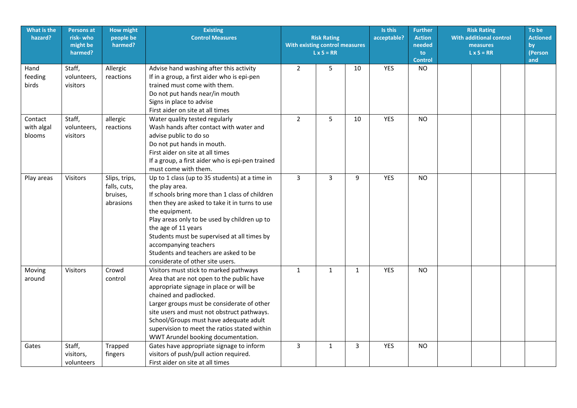| What is the<br>hazard?          | <b>Persons at</b><br>risk- who<br>might be<br>harmed? | <b>How might</b><br>people be<br>harmed?               | <b>Existing</b><br><b>Control Measures</b>                                                                                                                                                                                                                                                                                                                                                                         | With existing control measures | <b>Risk Rating</b><br>$L \times S = RR$ |              | Is this<br>acceptable? | <b>Further</b><br><b>Action</b><br>needed<br>to<br><b>Control</b> | <b>Risk Rating</b><br><b>With additional control</b><br>measures<br>$L \times S = RR$ | To be<br><b>Actioned</b><br>by<br>(Person<br>and |
|---------------------------------|-------------------------------------------------------|--------------------------------------------------------|--------------------------------------------------------------------------------------------------------------------------------------------------------------------------------------------------------------------------------------------------------------------------------------------------------------------------------------------------------------------------------------------------------------------|--------------------------------|-----------------------------------------|--------------|------------------------|-------------------------------------------------------------------|---------------------------------------------------------------------------------------|--------------------------------------------------|
| Hand<br>feeding<br>birds        | Staff,<br>volunteers,<br>visitors                     | Allergic<br>reactions                                  | Advise hand washing after this activity<br>If in a group, a first aider who is epi-pen<br>trained must come with them.<br>Do not put hands near/in mouth<br>Signs in place to advise<br>First aider on site at all times                                                                                                                                                                                           | $\overline{2}$                 | 5                                       | 10           | <b>YES</b>             | <b>NO</b>                                                         |                                                                                       |                                                  |
| Contact<br>with algal<br>blooms | Staff,<br>volunteers,<br>visitors                     | allergic<br>reactions                                  | Water quality tested regularly<br>Wash hands after contact with water and<br>advise public to do so<br>Do not put hands in mouth.<br>First aider on site at all times<br>If a group, a first aider who is epi-pen trained<br>must come with them.                                                                                                                                                                  | $\overline{2}$                 | 5                                       | 10           | YES                    | <b>NO</b>                                                         |                                                                                       |                                                  |
| Play areas                      | Visitors                                              | Slips, trips,<br>falls, cuts,<br>bruises,<br>abrasions | Up to 1 class (up to 35 students) at a time in<br>the play area.<br>If schools bring more than 1 class of children<br>then they are asked to take it in turns to use<br>the equipment.<br>Play areas only to be used by children up to<br>the age of 11 years<br>Students must be supervised at all times by<br>accompanying teachers<br>Students and teachers are asked to be<br>considerate of other site users. | $\overline{3}$                 | $\overline{3}$                          | 9            | <b>YES</b>             | <b>NO</b>                                                         |                                                                                       |                                                  |
| Moving<br>around                | Visitors                                              | Crowd<br>control                                       | Visitors must stick to marked pathways<br>Area that are not open to the public have<br>appropriate signage in place or will be<br>chained and padlocked.<br>Larger groups must be considerate of other<br>site users and must not obstruct pathways.<br>School/Groups must have adequate adult<br>supervision to meet the ratios stated within<br>WWT Arundel booking documentation.                               | $\mathbf{1}$                   | $\mathbf{1}$                            | $\mathbf{1}$ | YES                    | <b>NO</b>                                                         |                                                                                       |                                                  |
| Gates                           | Staff,<br>visitors,<br>volunteers                     | Trapped<br>fingers                                     | Gates have appropriate signage to inform<br>visitors of push/pull action required.<br>First aider on site at all times                                                                                                                                                                                                                                                                                             | 3                              | $\mathbf{1}$                            | 3            | <b>YES</b>             | <b>NO</b>                                                         |                                                                                       |                                                  |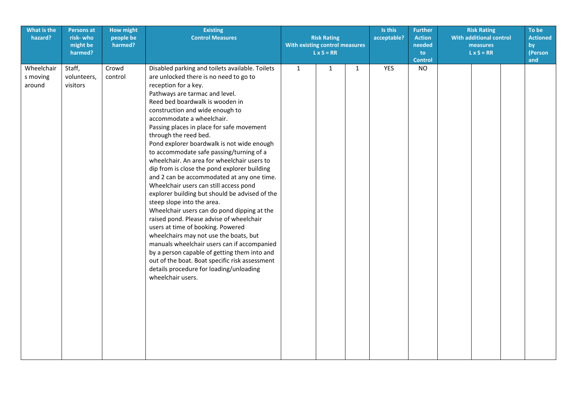| What is the<br>hazard?           | <b>Persons at</b><br>risk-who<br>might be<br>harmed? | <b>How might</b><br>people be<br>harmed? | <b>Existing</b><br><b>Control Measures</b>                                                                                                                                                                                                                                                                                                                                                                                                                                                                                                                                                                                                                                                                                                                                                                                                                                                                                                                                                                                                                                               | <b>Risk Rating</b><br>acceptable?<br><b>With existing control measures</b><br>$L \times S = RR$ |              |              |            | <b>Further</b><br><b>Action</b><br>needed<br>to<br><b>Control</b> | <b>Risk Rating</b><br><b>With additional control</b><br>measures<br>$L \times S = RR$ |  | To be<br><b>Actioned</b><br>by<br>(Person<br>and |  |
|----------------------------------|------------------------------------------------------|------------------------------------------|------------------------------------------------------------------------------------------------------------------------------------------------------------------------------------------------------------------------------------------------------------------------------------------------------------------------------------------------------------------------------------------------------------------------------------------------------------------------------------------------------------------------------------------------------------------------------------------------------------------------------------------------------------------------------------------------------------------------------------------------------------------------------------------------------------------------------------------------------------------------------------------------------------------------------------------------------------------------------------------------------------------------------------------------------------------------------------------|-------------------------------------------------------------------------------------------------|--------------|--------------|------------|-------------------------------------------------------------------|---------------------------------------------------------------------------------------|--|--------------------------------------------------|--|
| Wheelchair<br>s moving<br>around | Staff,<br>volunteers,<br>visitors                    | Crowd<br>control                         | Disabled parking and toilets available. Toilets<br>are unlocked there is no need to go to<br>reception for a key.<br>Pathways are tarmac and level.<br>Reed bed boardwalk is wooden in<br>construction and wide enough to<br>accommodate a wheelchair.<br>Passing places in place for safe movement<br>through the reed bed.<br>Pond explorer boardwalk is not wide enough<br>to accommodate safe passing/turning of a<br>wheelchair. An area for wheelchair users to<br>dip from is close the pond explorer building<br>and 2 can be accommodated at any one time.<br>Wheelchair users can still access pond<br>explorer building but should be advised of the<br>steep slope into the area.<br>Wheelchair users can do pond dipping at the<br>raised pond. Please advise of wheelchair<br>users at time of booking. Powered<br>wheelchairs may not use the boats, but<br>manuals wheelchair users can if accompanied<br>by a person capable of getting them into and<br>out of the boat. Boat specific risk assessment<br>details procedure for loading/unloading<br>wheelchair users. | $\mathbf{1}$                                                                                    | $\mathbf{1}$ | $\mathbf{1}$ | <b>YES</b> | <b>NO</b>                                                         |                                                                                       |  |                                                  |  |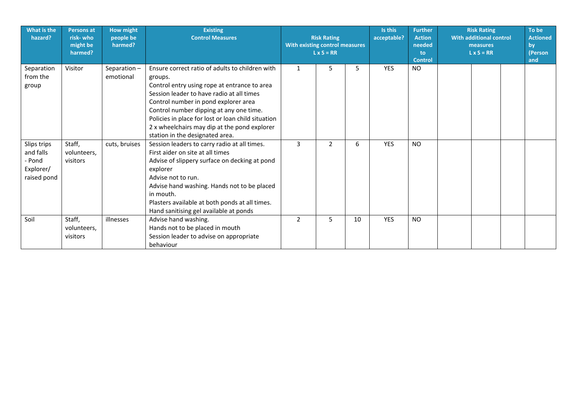| What is the<br>hazard?                                         | <b>Persons at</b><br>risk-who<br>might be<br>harmed? | <b>How might</b><br>people be<br>harmed? | <b>Existing</b><br><b>Control Measures</b>                                                                                                                                                                                                                                                                                                                                          | <b>Risk Rating</b><br>With existing control measures<br>$L \times S = RR$ |                |    | Is this<br>acceptable? | <b>Further</b><br><b>Action</b><br>needed<br>to<br><b>Control</b> | <b>Risk Rating</b><br><b>With additional control</b><br>measures<br>$L \times S = RR$ | To be<br><b>Actioned</b><br>by<br>(Person<br>and |
|----------------------------------------------------------------|------------------------------------------------------|------------------------------------------|-------------------------------------------------------------------------------------------------------------------------------------------------------------------------------------------------------------------------------------------------------------------------------------------------------------------------------------------------------------------------------------|---------------------------------------------------------------------------|----------------|----|------------------------|-------------------------------------------------------------------|---------------------------------------------------------------------------------------|--------------------------------------------------|
| Separation<br>from the<br>group                                | Visitor                                              | Separation-<br>emotional                 | Ensure correct ratio of adults to children with<br>groups.<br>Control entry using rope at entrance to area<br>Session leader to have radio at all times<br>Control number in pond explorer area<br>Control number dipping at any one time.<br>Policies in place for lost or loan child situation<br>2 x wheelchairs may dip at the pond explorer<br>station in the designated area. | 1                                                                         | 5              | 5  | <b>YES</b>             | NO.                                                               |                                                                                       |                                                  |
| Slips trips<br>and falls<br>- Pond<br>Explorer/<br>raised pond | Staff,<br>volunteers,<br>visitors                    | cuts, bruises                            | Session leaders to carry radio at all times.<br>First aider on site at all times<br>Advise of slippery surface on decking at pond<br>explorer<br>Advise not to run.<br>Advise hand washing. Hands not to be placed<br>in mouth.<br>Plasters available at both ponds at all times.<br>Hand sanitising gel available at ponds                                                         | 3                                                                         | $\overline{2}$ | 6  | <b>YES</b>             | <b>NO</b>                                                         |                                                                                       |                                                  |
| Soil                                                           | Staff,<br>volunteers,<br>visitors                    | illnesses                                | Advise hand washing.<br>Hands not to be placed in mouth<br>Session leader to advise on appropriate<br>behaviour                                                                                                                                                                                                                                                                     | 2                                                                         | 5              | 10 | <b>YES</b>             | <b>NO</b>                                                         |                                                                                       |                                                  |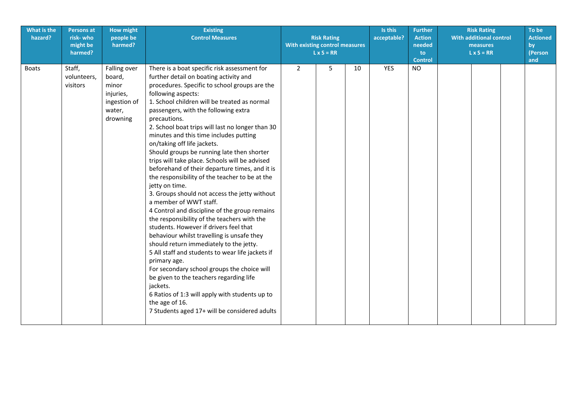| What is the<br>hazard? | <b>Persons at</b><br>risk-who<br>might be<br>harmed? | <b>How might</b><br>people be<br>harmed?                                           | <b>Existing</b><br><b>Control Measures</b>                                                                                                                                                                                                                                                                                                                                                                                                                                                                                                                                                                                                                                                                                                                                                                                                                                                                                                                                                                                                                                                                                                                                                                                            | <b>Risk Rating</b><br>With existing control measures<br>$L \times S = RR$ |   |    |     | Is this<br>acceptable? | <b>Further</b><br><b>Action</b><br>needed<br>to<br><b>Control</b> | <b>Risk Rating</b><br><b>With additional control</b><br>measures<br>$L \times S = RR$ | To be<br><b>Actioned</b><br>by<br>(Person<br>and |
|------------------------|------------------------------------------------------|------------------------------------------------------------------------------------|---------------------------------------------------------------------------------------------------------------------------------------------------------------------------------------------------------------------------------------------------------------------------------------------------------------------------------------------------------------------------------------------------------------------------------------------------------------------------------------------------------------------------------------------------------------------------------------------------------------------------------------------------------------------------------------------------------------------------------------------------------------------------------------------------------------------------------------------------------------------------------------------------------------------------------------------------------------------------------------------------------------------------------------------------------------------------------------------------------------------------------------------------------------------------------------------------------------------------------------|---------------------------------------------------------------------------|---|----|-----|------------------------|-------------------------------------------------------------------|---------------------------------------------------------------------------------------|--------------------------------------------------|
| <b>Boats</b>           | Staff,<br>volunteers,<br>visitors                    | Falling over<br>board,<br>minor<br>injuries,<br>ingestion of<br>water,<br>drowning | There is a boat specific risk assessment for<br>further detail on boating activity and<br>procedures. Specific to school groups are the<br>following aspects:<br>1. School children will be treated as normal<br>passengers, with the following extra<br>precautions.<br>2. School boat trips will last no longer than 30<br>minutes and this time includes putting<br>on/taking off life jackets.<br>Should groups be running late then shorter<br>trips will take place. Schools will be advised<br>beforehand of their departure times, and it is<br>the responsibility of the teacher to be at the<br>jetty on time.<br>3. Groups should not access the jetty without<br>a member of WWT staff.<br>4 Control and discipline of the group remains<br>the responsibility of the teachers with the<br>students. However if drivers feel that<br>behaviour whilst travelling is unsafe they<br>should return immediately to the jetty.<br>5 All staff and students to wear life jackets if<br>primary age.<br>For secondary school groups the choice will<br>be given to the teachers regarding life<br>jackets.<br>6 Ratios of 1:3 will apply with students up to<br>the age of 16.<br>7 Students aged 17+ will be considered adults | $\overline{2}$                                                            | 5 | 10 | YES | <b>NO</b>              |                                                                   |                                                                                       |                                                  |